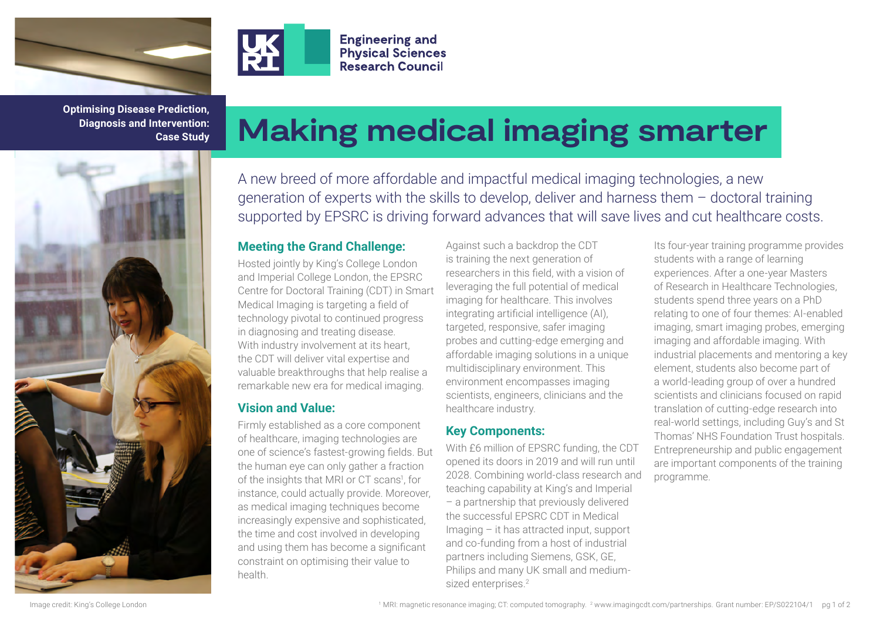

**Optimising Disease Prediction, Diagnosis and Intervention: Case Study**



# **Making medical imaging smarter**

A new breed of more affordable and impactful medical imaging technologies, a new generation of experts with the skills to develop, deliver and harness them – doctoral training supported by EPSRC is driving forward advances that will save lives and cut healthcare costs.

#### **Meeting the Grand Challenge:**

**Engineering and Physical Sciences Research Council** 

Hosted jointly by King's College London and Imperial College London, the EPSRC Centre for Doctoral Training (CDT) in Smart Medical Imaging is targeting a field of technology pivotal to continued progress in diagnosing and treating disease. With industry involvement at its heart, the CDT will deliver vital expertise and valuable breakthroughs that help realise a remarkable new era for medical imaging.

## **Vision and Value:**

Firmly established as a core component of healthcare, imaging technologies are one of science's fastest-growing fields. But the human eye can only gather a fraction of the insights that MRI or CT scans<sup>1</sup>, for instance, could actually provide. Moreover, as medical imaging techniques become increasingly expensive and sophisticated, the time and cost involved in developing and using them has become a significant constraint on optimising their value to health.

Against such a backdrop the CDT is training the next generation of researchers in this field, with a vision of leveraging the full potential of medical imaging for healthcare. This involves integrating artificial intelligence (AI), targeted, responsive, safer imaging probes and cutting-edge emerging and affordable imaging solutions in a unique multidisciplinary environment. This environment encompasses imaging scientists, engineers, clinicians and the healthcare industry.

## **Key Components:**

With £6 million of EPSRC funding, the CDT opened its doors in 2019 and will run until 2028. Combining world-class research and teaching capability at King's and Imperial – a partnership that previously delivered the successful EPSRC CDT in Medical Imaging – it has attracted input, support and co-funding from a host of industrial partners including Siemens, GSK, GE, Philips and many UK small and mediumsized enterprises.<sup>2</sup>

Its four-year training programme provides students with a range of learning experiences. After a one-year Masters of Research in Healthcare Technologies, students spend three years on a PhD relating to one of four themes: AI-enabled imaging, smart imaging probes, emerging imaging and affordable imaging. With industrial placements and mentoring a key element, students also become part of a world-leading group of over a hundred scientists and clinicians focused on rapid translation of cutting-edge research into real-world settings, including Guy's and St Thomas' NHS Foundation Trust hospitals. Entrepreneurship and public engagement are important components of the training programme.